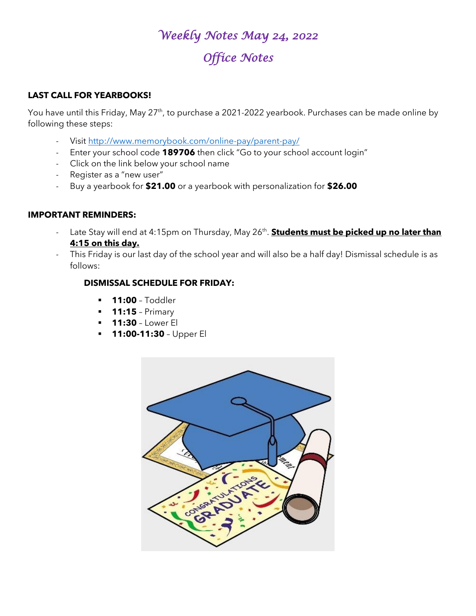# *Weekly Notes May 24, 2022 Office Notes*

#### **LAST CALL FOR YEARBOOKS!**

You have until this Friday, May 27<sup>th</sup>, to purchase a 2021-2022 yearbook. Purchases can be made online by following these steps:

- Visit<http://www.memorybook.com/online-pay/parent-pay/>
- Enter your school code **189706** then click "Go to your school account login"
- Click on the link below your school name
- Register as a "new user"
- Buy a yearbook for **\$21.00** or a yearbook with personalization for **\$26.00**

#### **IMPORTANT REMINDERS:**

- Late Stay will end at 4:15pm on Thursday, May 26<sup>th</sup>. **Students must be picked up no later than 4:15 on this day.**
- This Friday is our last day of the school year and will also be a half day! Dismissal schedule is as follows:

#### **DISMISSAL SCHEDULE FOR FRIDAY:**

- **11:00** Toddler
- **11:15** Primary
- **11:30** Lower El
- **11:00-11:30** Upper El

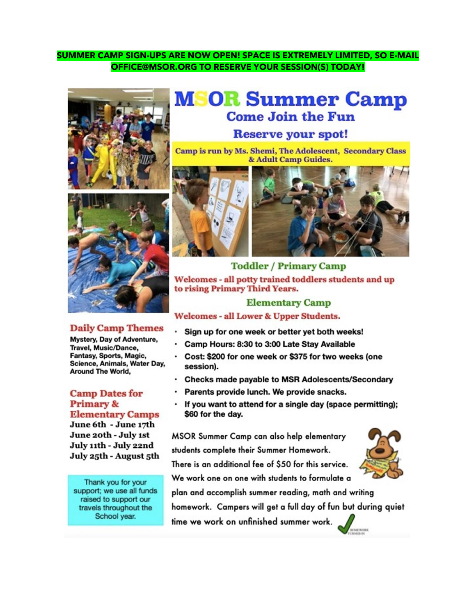#### SUMMER CAMP SIGN-UPS ARE NOW OPEN! SPACE IS EXTREMELY LIMITED, SO E-MAIL OFFICE@MSOR.ORG TO RESERVE YOUR SESSION(S) TODAY!



#### **Daily Camp Themes**

Mystery, Day of Adventure, Travel, Music/Dance, Fantasy, Sports, Magic, Science, Animals, Water Day, **Around The World,** 

#### **Camp Dates for Primary & Elementary Camps**

June 6th - June 17th June 20th - July 1st July 11th - July 22nd July 25th - August 5th

Thank you for your support; we use all funds raised to support our travels throughout the School year.

# **MSOR Summer Camp Come Join the Fun**

#### **Reserve your spot!**

Camp is run by Ms. Shemi, The Adolescent, Secondary Class & Adult Camp Guides.





**Toddler / Primary Camp** Welcomes - all potty trained toddlers students and up to rising Primary Third Years.

### **Elementary Camp**

**Welcomes - all Lower & Upper Students.** 

- Sign up for one week or better yet both weeks!
- · Camp Hours: 8:30 to 3:00 Late Stay Available
- · Cost: \$200 for one week or \$375 for two weeks (one session).
- . Checks made payable to MSR Adolescents/Secondary
- Parents provide lunch. We provide snacks.  $\cdot$
- . If you want to attend for a single day (space permitting); \$60 for the day.

MSOR Summer Camp can also help elementary students complete their Summer Homework.

There is an additional fee of \$50 for this service. We work one on one with students to formulate a



plan and accomplish summer reading, math and writing homework. Campers will get a full day of fun but during quiet time we work on unfinished summer work.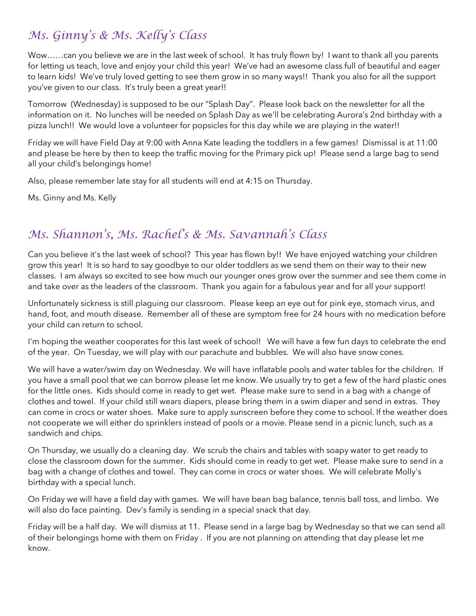# *Ms. Ginny's & Ms. Kelly's Class*

Wow……can you believe we are in the last week of school. It has truly flown by! I want to thank all you parents for letting us teach, love and enjoy your child this year! We've had an awesome class full of beautiful and eager to learn kids! We've truly loved getting to see them grow in so many ways!! Thank you also for all the support you've given to our class. It's truly been a great year!!

Tomorrow (Wednesday) is supposed to be our "Splash Day". Please look back on the newsletter for all the information on it. No lunches will be needed on Splash Day as we'll be celebrating Aurora's 2nd birthday with a pizza lunch!! We would love a volunteer for popsicles for this day while we are playing in the water!!

Friday we will have Field Day at 9:00 with Anna Kate leading the toddlers in a few games! Dismissal is at 11:00 and please be here by then to keep the traffic moving for the Primary pick up! Please send a large bag to send all your child's belongings home!

Also, please remember late stay for all students will end at 4:15 on Thursday.

Ms. Ginny and Ms. Kelly

# *Ms. Shannon's, Ms. Rachel's & Ms. Savannah's Class*

Can you believe it's the last week of school? This year has flown by!! We have enjoyed watching your children grow this year! It is so hard to say goodbye to our older toddlers as we send them on their way to their new classes. I am always so excited to see how much our younger ones grow over the summer and see them come in and take over as the leaders of the classroom. Thank you again for a fabulous year and for all your support!

Unfortunately sickness is still plaguing our classroom. Please keep an eye out for pink eye, stomach virus, and hand, foot, and mouth disease. Remember all of these are symptom free for 24 hours with no medication before your child can return to school.

I'm hoping the weather cooperates for this last week of school! We will have a few fun days to celebrate the end of the year. On Tuesday, we will play with our parachute and bubbles. We will also have snow cones.

We will have a water/swim day on Wednesday. We will have inflatable pools and water tables for the children. If you have a small pool that we can borrow please let me know. We usually try to get a few of the hard plastic ones for the little ones. Kids should come in ready to get wet. Please make sure to send in a bag with a change of clothes and towel. If your child still wears diapers, please bring them in a swim diaper and send in extras. They can come in crocs or water shoes. Make sure to apply sunscreen before they come to school. If the weather does not cooperate we will either do sprinklers instead of pools or a movie. Please send in a picnic lunch, such as a sandwich and chips.

On Thursday, we usually do a cleaning day. We scrub the chairs and tables with soapy water to get ready to close the classroom down for the summer. Kids should come in ready to get wet. Please make sure to send in a bag with a change of clothes and towel. They can come in crocs or water shoes. We will celebrate Molly's birthday with a special lunch.

On Friday we will have a field day with games. We will have bean bag balance, tennis ball toss, and limbo. We will also do face painting. Dev's family is sending in a special snack that day.

Friday will be a half day. We will dismiss at 11. Please send in a large bag by Wednesday so that we can send all of their belongings home with them on Friday . If you are not planning on attending that day please let me know.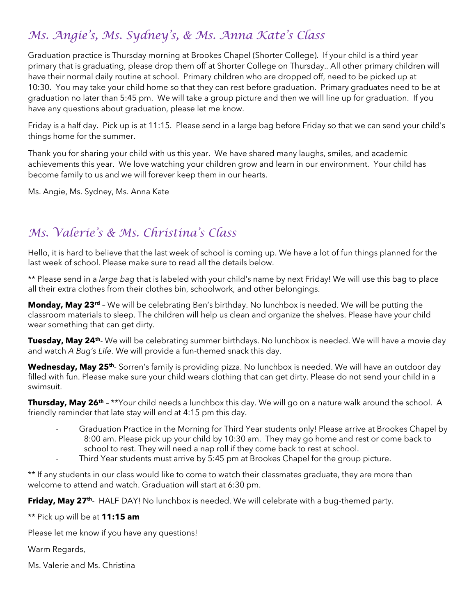# *Ms. Angie's, Ms. Sydney's, & Ms. Anna Kate's Class*

Graduation practice is Thursday morning at Brookes Chapel (Shorter College). If your child is a third year primary that is graduating, please drop them off at Shorter College on Thursday.. All other primary children will have their normal daily routine at school. Primary children who are dropped off, need to be picked up at 10:30. You may take your child home so that they can rest before graduation. Primary graduates need to be at graduation no later than 5:45 pm. We will take a group picture and then we will line up for graduation. If you have any questions about graduation, please let me know.

Friday is a half day. Pick up is at 11:15. Please send in a large bag before Friday so that we can send your child's things home for the summer.

Thank you for sharing your child with us this year. We have shared many laughs, smiles, and academic achievements this year. We love watching your children grow and learn in our environment. Your child has become family to us and we will forever keep them in our hearts.

Ms. Angie, Ms. Sydney, Ms. Anna Kate

# *Ms. Valerie's & Ms. Christina's Class*

Hello, it is hard to believe that the last week of school is coming up. We have a lot of fun things planned for the last week of school. Please make sure to read all the details below.

\*\* Please send in a *large bag* that is labeled with your child's name by next Friday! We will use this bag to place all their extra clothes from their clothes bin, schoolwork, and other belongings.

**Monday, May 23rd** – We will be celebrating Ben's birthday. No lunchbox is needed. We will be putting the classroom materials to sleep. The children will help us clean and organize the shelves. Please have your child wear something that can get dirty.

**Tuesday, May 24<sup>th</sup>-** We will be celebrating summer birthdays. No lunchbox is needed. We will have a movie day and watch *A Bug's Life*. We will provide a fun-themed snack this day.

**Wednesday, May 25<sup>th</sup>**- Sorren's family is providing pizza. No lunchbox is needed. We will have an outdoor day filled with fun. Please make sure your child wears clothing that can get dirty. Please do not send your child in a swimsuit.

**Thursday, May 26th** – \*\*Your child needs a lunchbox this day. We will go on a nature walk around the school. A friendly reminder that late stay will end at 4:15 pm this day.

- Graduation Practice in the Morning for Third Year students only! Please arrive at Brookes Chapel by 8:00 am. Please pick up your child by 10:30 am. They may go home and rest or come back to school to rest. They will need a nap roll if they come back to rest at school.
- Third Year students must arrive by 5:45 pm at Brookes Chapel for the group picture.

\*\* If any students in our class would like to come to watch their classmates graduate, they are more than welcome to attend and watch. Graduation will start at 6:30 pm.

**Friday, May 27<sup>th</sup>**- HALF DAY! No lunchbox is needed. We will celebrate with a bug-themed party.

\*\* Pick up will be at **11:15 am**

Please let me know if you have any questions!

Warm Regards,

Ms. Valerie and Ms. Christina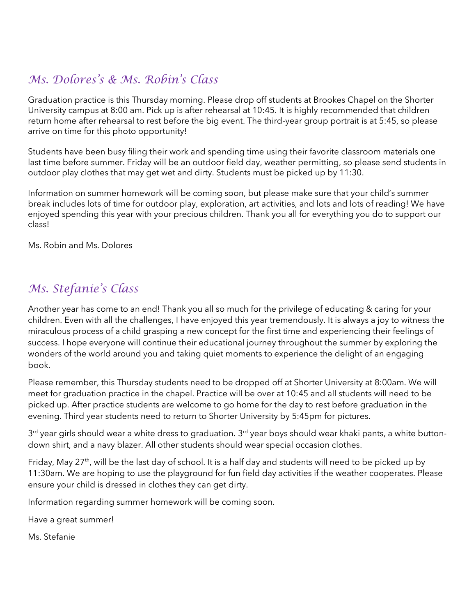# *Ms. Dolores's & Ms. Robin's Class*

Graduation practice is this Thursday morning. Please drop off students at Brookes Chapel on the Shorter University campus at 8:00 am. Pick up is after rehearsal at 10:45. It is highly recommended that children return home after rehearsal to rest before the big event. The third-year group portrait is at 5:45, so please arrive on time for this photo opportunity!

Students have been busy filing their work and spending time using their favorite classroom materials one last time before summer. Friday will be an outdoor field day, weather permitting, so please send students in outdoor play clothes that may get wet and dirty. Students must be picked up by 11:30.

Information on summer homework will be coming soon, but please make sure that your child's summer break includes lots of time for outdoor play, exploration, art activities, and lots and lots of reading! We have enjoyed spending this year with your precious children. Thank you all for everything you do to support our class!

Ms. Robin and Ms. Dolores

# *Ms. Stefanie's Class*

Another year has come to an end! Thank you all so much for the privilege of educating & caring for your children. Even with all the challenges, I have enjoyed this year tremendously. It is always a joy to witness the miraculous process of a child grasping a new concept for the first time and experiencing their feelings of success. I hope everyone will continue their educational journey throughout the summer by exploring the wonders of the world around you and taking quiet moments to experience the delight of an engaging book.

Please remember, this Thursday students need to be dropped off at Shorter University at 8:00am. We will meet for graduation practice in the chapel. Practice will be over at 10:45 and all students will need to be picked up. After practice students are welcome to go home for the day to rest before graduation in the evening. Third year students need to return to Shorter University by 5:45pm for pictures.

3rd year girls should wear a white dress to graduation. 3rd year boys should wear khaki pants, a white buttondown shirt, and a navy blazer. All other students should wear special occasion clothes.

Friday, May 27<sup>th</sup>, will be the last day of school. It is a half day and students will need to be picked up by 11:30am. We are hoping to use the playground for fun field day activities if the weather cooperates. Please ensure your child is dressed in clothes they can get dirty.

Information regarding summer homework will be coming soon.

Have a great summer!

Ms. Stefanie